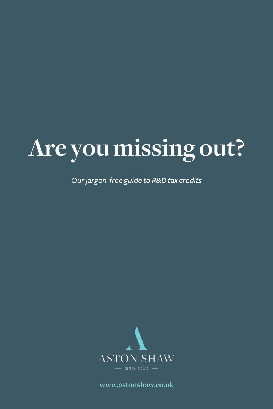# **Are you missing out?**

*Our jargon-free guide to R&D tax credits*



**www.astonshaw.co.uk**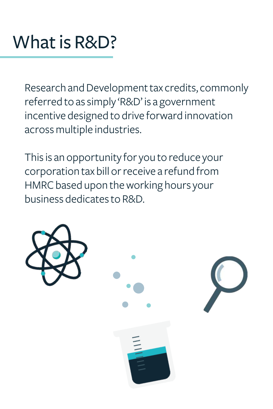### What is R&D?

Research and Development tax credits, commonly referred to as simply 'R&D' is a government incentive designed to drive forward innovation across multiple industries.

This is an opportunity for you to reduce your corporation tax bill or receive a refund from HMRC based upon the working hours your business dedicates to R&D.

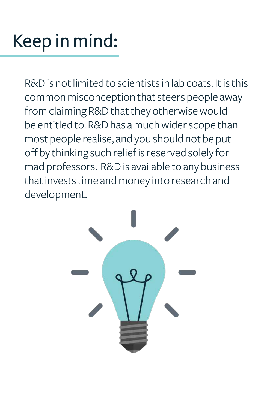## Keep in mind:

R&D is not limited to scientists in lab coats. It is this common misconception that steers people away from claiming R&D that they otherwise would be entitled to. R&D has a much wider scope than most people realise, and you should not be put off by thinking such relief is reserved solely for mad professors. R&D is available to any business that invests time and money into research and development.

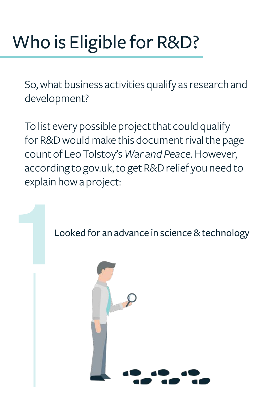# Who is Eligible for R&D?

So, what business activities qualify as research and development?

To list every possible project that could qualify for R&D would make this document rival the page count of Leo Tolstoy's *War and Peace.* However, according to gov.uk, to get R&D relief you need to explain how a project:



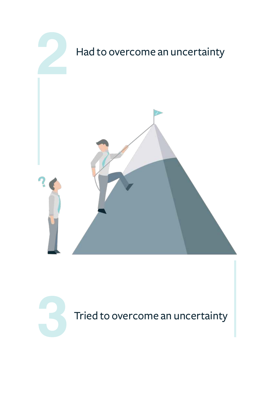

Tried to overcome an uncertainty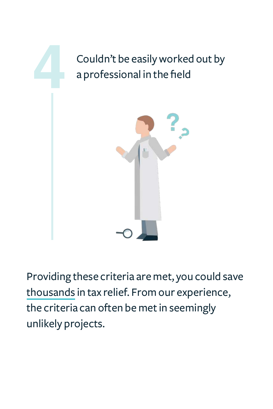

Providing these criteria are met, you could save thousands in tax relief. From our experience, the criteria can often be met in seemingly unlikely projects.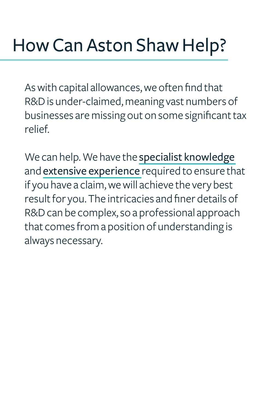As with capital allowances, we often find that R&D is under-claimed, meaning vast numbers of businesses are missing out on some significant tax relief.

We can help. We have the specialist knowledge and extensive experience required to ensure that if you have a claim, we will achieve the very best result for you. The intricacies and finer details of R&D can be complex, so a professional approach that comes from a position of understanding is always necessary.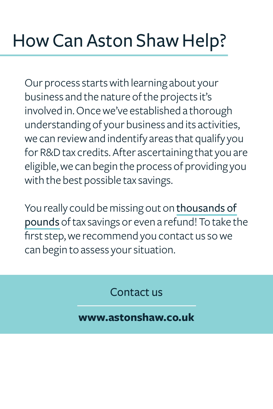### How Can Aston Shaw Help?

Our process starts with learning about your business and the nature of the projects it's involved in. Once we've established a thorough understanding of your business and its activities, we can review and indentify areas that qualify you for R&D tax credits. After ascertaining that you are eligible, we can begin the process of providing you with the best possible tax savings.

You really could be missing out on thousands of pounds of tax savings or even a refund! To take the first step, we recommend you contact us so we can begin to assess your situation.

Contact us

#### **www.astonshaw.co.uk**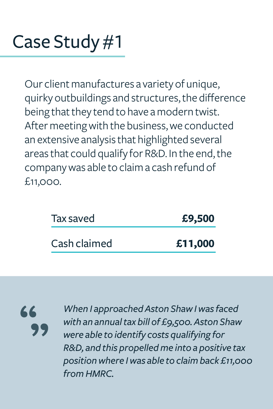### Case Study #1

Our client manufactures a variety of unique, quirky outbuildings and structures, the difference being that they tend to have a modern twist. After meeting with the business, we conducted an extensive analysis that highlighted several areas that could qualify for R&D. In the end, the company was able to claim a cash refund of £11,000.

| £9,500  |
|---------|
| £11,000 |
|         |

66

*When I approached Aston Shaw I was faced with an annual tax bill of £9,500. Aston Shaw were able to identify costs qualifying for R&D, and this propelled me into a positive tax position where I was able to claim back £11,000 from HMRC.*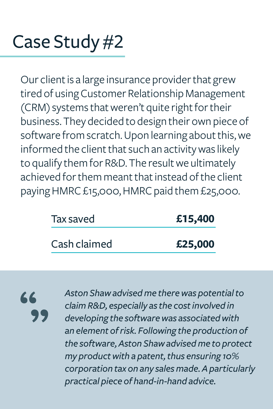### Case Study #2

Our client is a large insurance provider that grew tired of using Customer Relationship Management (CRM) systems that weren't quite right for their business. They decided to design their own piece of software from scratch. Upon learning about this, we informed the client that such an activity was likely to qualify them for R&D. The result we ultimately achieved for them meant that instead of the client paying HMRC £15,000, HMRC paid them £25,000.

| Tax saved    | £15,400 |
|--------------|---------|
| Cash claimed | £25,000 |

66

*Aston Shaw advised me there was potential to claim R&D, especially as the cost involved in developing the software was associated with an element of risk. Following the production of the software, Aston Shaw advised me to protect my product with a patent, thus ensuring 10% corporation tax on any sales made. A particularly practical piece of hand-in-hand advice.*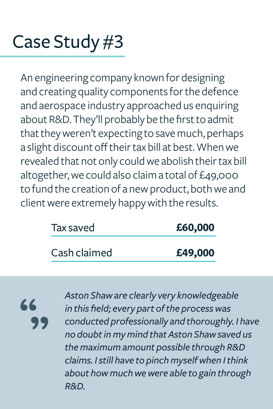### Case Study #3

An engineering company known for designing and creating quality components for the defence and aerospace industry approached us enquiring about R&D. They'll probably be the first to admit that they weren't expecting to save much, perhaps a slight discount off their tax bill at best. When we revealed that not only could we abolish their tax bill altogether, we could also claim a total of £49,000 to fund the creation of a new product, both we and client were extremely happy with the results.

| Tax saved    | £60,000 |
|--------------|---------|
| Cash claimed | £49,000 |

66

*Aston Shaw are clearly very knowledgeable in this field; every part of the process was conducted professionally and thoroughly. I have no doubt in my mind that Aston Shaw saved us the maximum amount possible through R&D claims. I still have to pinch myself when I think about how much we were able to gain through R&D.*